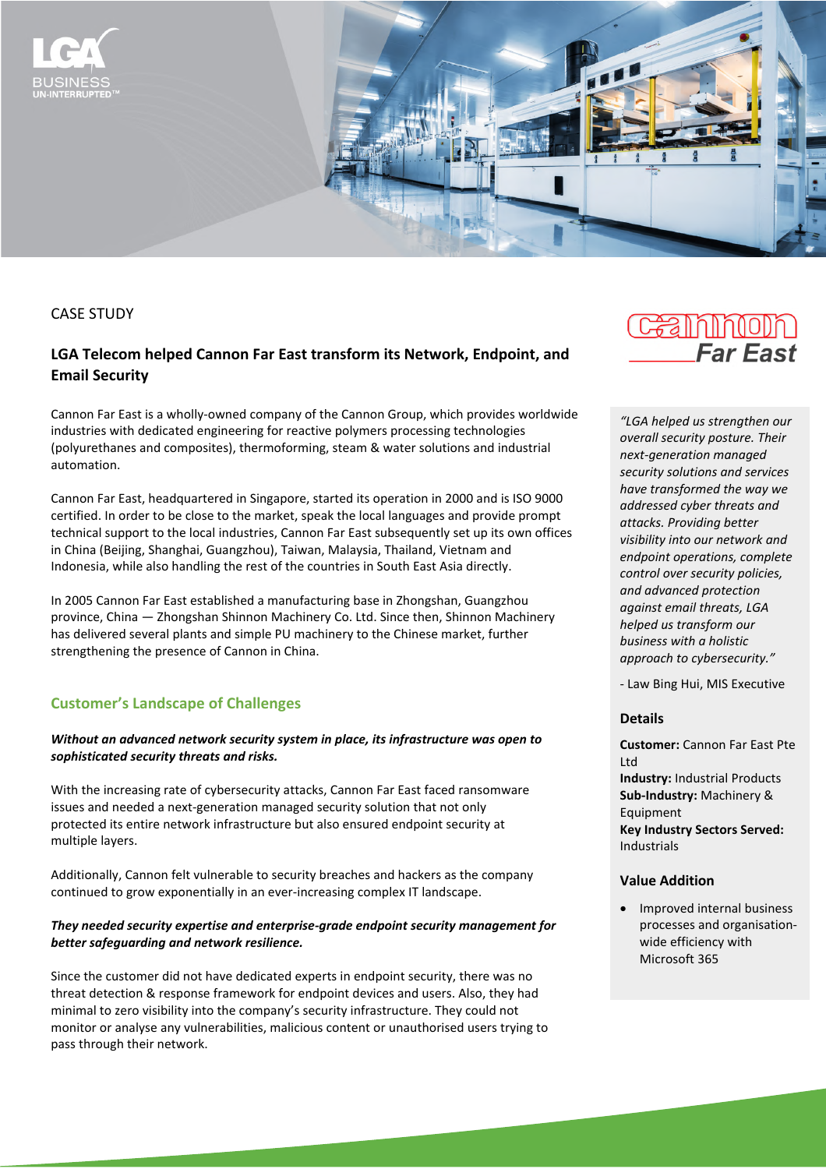

CASE STUDY

# **LGA Telecom helped Cannon Far East transform its Network, Endpoint, and Email Security**

Cannon Far East is a wholly-owned company of the Cannon Group, which provides worldwide industries with dedicated engineering for reactive polymers processing technologies (polyurethanes and composites), thermoforming, steam & water solutions and industrial automation.

Cannon Far East, headquartered in Singapore, started its operation in 2000 and is ISO 9000 certified. In order to be close to the market, speak the local languages and provide prompt technical support to the local industries, Cannon Far East subsequently set up its own offices in China (Beijing, Shanghai, Guangzhou), Taiwan, Malaysia, Thailand, Vietnam and Indonesia, while also handling the rest of the countries in South East Asia directly.

In 2005 Cannon Far East established a manufacturing base in Zhongshan, Guangzhou province, China — Zhongshan Shinnon Machinery Co. Ltd. Since then, Shinnon Machinery has delivered several plants and simple PU machinery to the Chinese market, further strengthening the presence of Cannon in China.

## **Customer's Landscape of Challenges**

## *Without an advanced network security system in place, its infrastructure was open to sophisticated security threats and risks.*

With the increasing rate of cybersecurity attacks, Cannon Far East faced ransomware issues and needed a next-generation managed security solution that not only protected its entire network infrastructure but also ensured endpoint security at multiple layers.

Additionally, Cannon felt vulnerable to security breaches and hackers as the company continued to grow exponentially in an ever-increasing complex IT landscape.

## *They needed security expertise and enterprise-grade endpoint security management for better safeguarding and network resilience.*

Since the customer did not have dedicated experts in endpoint security, there was no threat detection & response framework for endpoint devices and users. Also, they had minimal to zero visibility into the company's security infrastructure. They could not monitor or analyse any vulnerabilities, malicious content or unauthorised users trying to pass through their network.

# **CHE IN DESCRIPTION Far Fast**

*"LGA helped us strengthen our overall security posture. Their next-generation managed security solutions and services have transformed the way we addressed cyber threats and attacks. Providing better visibility into our network and endpoint operations, complete control over security policies, and advanced protection against email threats, LGA helped us transform our business with a holistic approach to cybersecurity."*

- Law Bing Hui, MIS Executive

## **Details**

**Customer:** Cannon Far East Pte Ltd **Industry:** Industrial Products **Sub-Industry:** Machinery & Equipment **Key Industry Sectors Served:**  Industrials

### **Value Addition**

• Improved internal business processes and organisationwide efficiency with Microsoft 365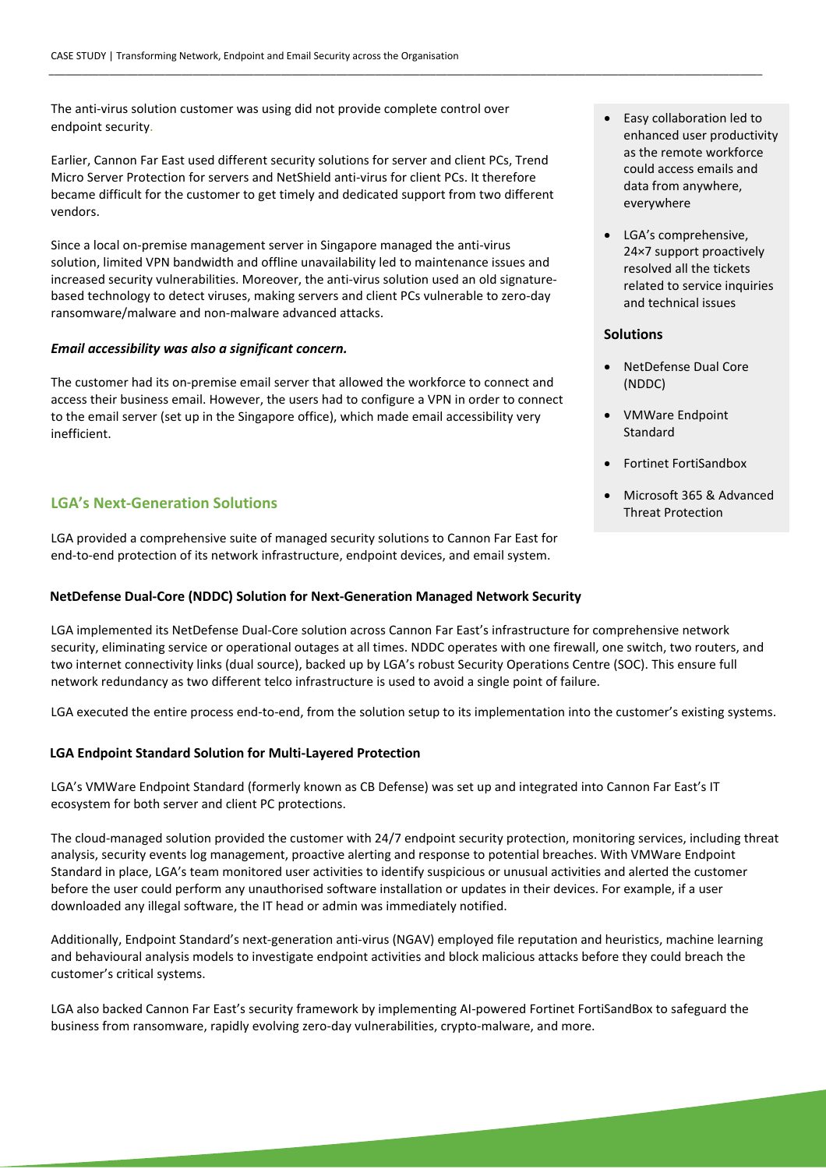The anti-virus solution customer was using did not provide complete control over endpoint security.

Earlier, Cannon Far East used different security solutions for server and client PCs, Trend Micro Server Protection for servers and NetShield anti-virus for client PCs. It therefore became difficult for the customer to get timely and dedicated support from two different vendors.

Since a local on-premise management server in Singapore managed the anti-virus solution, limited VPN bandwidth and offline unavailability led to maintenance issues and increased security vulnerabilities. Moreover, the anti-virus solution used an old signaturebased technology to detect viruses, making servers and client PCs vulnerable to zero-day ransomware/malware and non-malware advanced attacks.

#### *Email accessibility was also a significant concern.*

The customer had its on-premise email server that allowed the workforce to connect and access their business email. However, the users had to configure a VPN in order to connect to the email server (set up in the Singapore office), which made email accessibility very inefficient.

## **LGA's Next-Generation Solutions**

LGA provided a comprehensive suite of managed security solutions to Cannon Far East for end-to-end protection of its network infrastructure, endpoint devices, and email system.

### **NetDefense Dual-Core (NDDC) Solution for Next-Generation Managed Network Security**

LGA implemented its NetDefense Dual-Core solution across Cannon Far East's infrastructure for comprehensive network •security, eliminating service or operational outages at all times. NDDC operates with one firewall, one switch, two routers, and two internet connectivity links (dual source), backed up by LGA's robust Security Operations Centre (SOC). This ensure full network redundancy as two different telco infrastructure is used to avoid a single point of failure.

\_\_\_\_\_\_\_\_\_\_\_\_\_\_\_\_\_\_\_\_\_\_\_\_\_\_\_\_\_\_\_\_\_\_\_\_\_\_\_\_\_\_\_\_\_\_\_\_\_\_\_\_\_\_\_\_\_\_\_\_\_\_\_\_\_\_\_\_\_\_\_\_\_\_\_\_\_\_\_\_\_\_\_\_\_\_\_\_\_\_\_\_\_\_\_\_\_\_\_\_\_\_\_\_\_\_\_\_\_\_\_\_\_\_\_\_\_\_\_\_\_\_\_\_\_\_\_\_\_

LGA executed the entire process end-to-end, from the solution setup to its implementation into the customer's existing systems.

#### **LGA Endpoint Standard Solution for Multi-Layered Protection**

LGA's VMWare Endpoint Standard (formerly known as CB Defense) was set up and integrated into Cannon Far East's IT ecosystem for both server and client PC protections.

The cloud-managed solution provided the customer with 24/7 endpoint security protection, monitoring services, including threat analysis, security events log management, proactive alerting and response to potential breaches. With VMWare Endpoint Standard in place, LGA's team monitored user activities to identify suspicious or unusual activities and alerted the customer before the user could perform any unauthorised software installation or updates in their devices. For example, if a user downloaded any illegal software, the IT head or admin was immediately notified.

Additionally, Endpoint Standard's next-generation anti-virus (NGAV) employed file reputation and heuristics, machine learning and behavioural analysis models to investigate endpoint activities and block malicious attacks before they could breach the customer's critical systems.

LGA also backed Cannon Far East's security framework by implementing AI-powered Fortinet FortiSandBox to safeguard the business from ransomware, rapidly evolving zero-day vulnerabilities, crypto-malware, and more.

- Easy collaboration led to enhanced user productivity as the remote workforce could access emails and data from anywhere, everywhere
- LGA's comprehensive, 24×7 support proactively resolved all the tickets related to service inquiries and technical issues

#### **Solutions**

- NetDefense Dual Core (NDDC)
- VMWare Endpoint Standard
- Fortinet FortiSandbox
- Microsoft 365 & Advanced Threat Protection